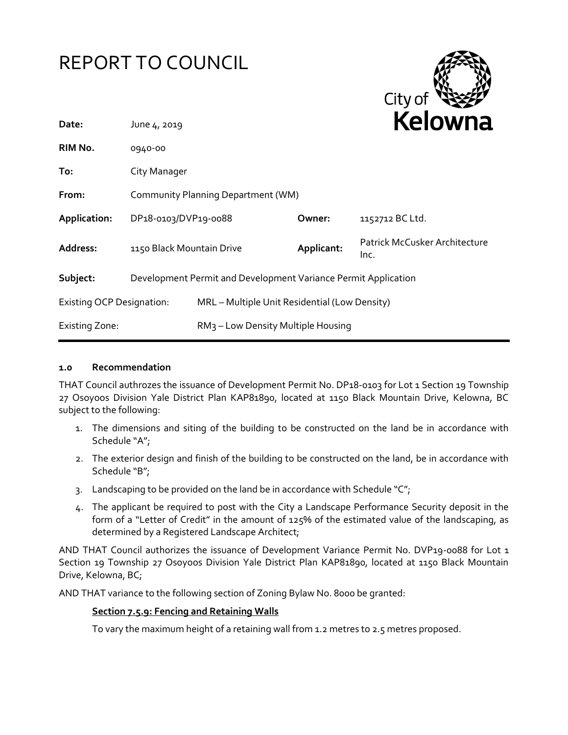# REPORT TO COUNCIL



| Date:                            | June 4, 2019                                                   |                                                |            | Kelowna                               |
|----------------------------------|----------------------------------------------------------------|------------------------------------------------|------------|---------------------------------------|
| RIM No.                          | 0940-00                                                        |                                                |            |                                       |
| To:                              | City Manager                                                   |                                                |            |                                       |
| From:                            | Community Planning Department (WM)                             |                                                |            |                                       |
| Application:                     | DP18-0103/DVP19-0088                                           |                                                | Owner:     | 1152712 BC Ltd.                       |
| Address:                         | 1150 Black Mountain Drive                                      |                                                | Applicant: | Patrick McCusker Architecture<br>Inc. |
| Subject:                         | Development Permit and Development Variance Permit Application |                                                |            |                                       |
| <b>Existing OCP Designation:</b> |                                                                | MRL - Multiple Unit Residential (Low Density)  |            |                                       |
| <b>Existing Zone:</b>            |                                                                | RM <sub>3</sub> - Low Density Multiple Housing |            |                                       |

## **1.0 Recommendation**

THAT Council authrozes the issuance of Development Permit No. DP18-0103 for Lot 1 Section 19 Township 27 Osoyoos Division Yale District Plan KAP81890, located at 1150 Black Mountain Drive, Kelowna, BC subject to the following:

- 1. The dimensions and siting of the building to be constructed on the land be in accordance with Schedule "A";
- 2. The exterior design and finish of the building to be constructed on the land, be in accordance with Schedule "B";
- 3. Landscaping to be provided on the land be in accordance with Schedule " $C$ ";
- 4. The applicant be required to post with the City a Landscape Performance Security deposit in the form of a "Letter of Credit" in the amount of 125% of the estimated value of the landscaping, as determined by a Registered Landscape Architect;

AND THAT Council authorizes the issuance of Development Variance Permit No. DVP19-0088 for Lot 1 Section 19 Township 27 Osoyoos Division Yale District Plan KAP81890, located at 1150 Black Mountain Drive, Kelowna, BC;

AND THAT variance to the following section of Zoning Bylaw No. 8000 be granted:

### **Section 7.5.9: Fencing and Retaining Walls**

To vary the maximum height of a retaining wall from 1.2 metres to 2.5 metres proposed.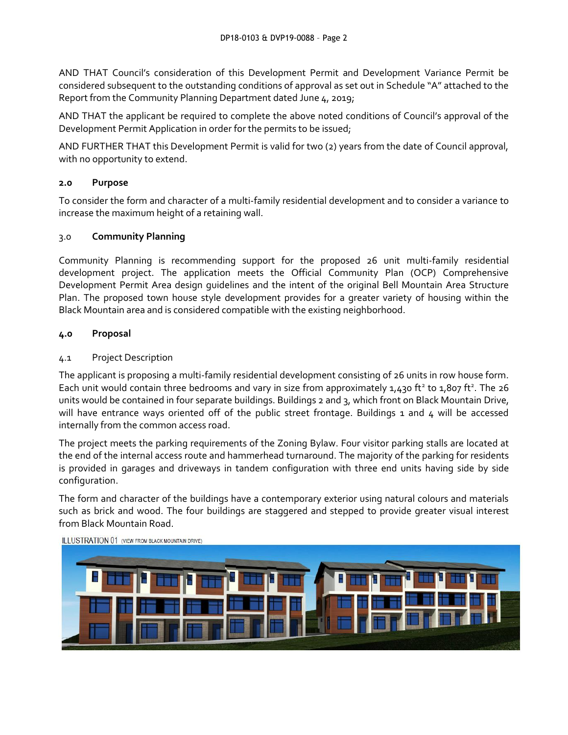AND THAT Council's consideration of this Development Permit and Development Variance Permit be considered subsequent to the outstanding conditions of approval as set out in Schedule "A" attached to the Report from the Community Planning Department dated June 4, 2019;

AND THAT the applicant be required to complete the above noted conditions of Council's approval of the Development Permit Application in order for the permits to be issued;

AND FURTHER THAT this Development Permit is valid for two (2) years from the date of Council approval, with no opportunity to extend.

# **2.0 Purpose**

To consider the form and character of a multi-family residential development and to consider a variance to increase the maximum height of a retaining wall.

## 3.0 **Community Planning**

Community Planning is recommending support for the proposed 26 unit multi-family residential development project. The application meets the Official Community Plan (OCP) Comprehensive Development Permit Area design guidelines and the intent of the original Bell Mountain Area Structure Plan. The proposed town house style development provides for a greater variety of housing within the Black Mountain area and is considered compatible with the existing neighborhood.

## **4.0 Proposal**

## 4.1 Project Description

The applicant is proposing a multi-family residential development consisting of 26 units in row house form. Each unit would contain three bedrooms and vary in size from approximately 1,430 ft<sup>2</sup> to 1,807 ft<sup>2</sup>. The 26 units would be contained in four separate buildings. Buildings 2 and 3, which front on Black Mountain Drive, will have entrance ways oriented off of the public street frontage. Buildings 1 and 4 will be accessed internally from the common access road.

The project meets the parking requirements of the Zoning Bylaw. Four visitor parking stalls are located at the end of the internal access route and hammerhead turnaround. The majority of the parking for residents is provided in garages and driveways in tandem configuration with three end units having side by side configuration.

The form and character of the buildings have a contemporary exterior using natural colours and materials such as brick and wood. The four buildings are staggered and stepped to provide greater visual interest from Black Mountain Road.



**ILLUSTRATION 01 (VIEW FROM BLACK MOUNTAIN DRIVE)**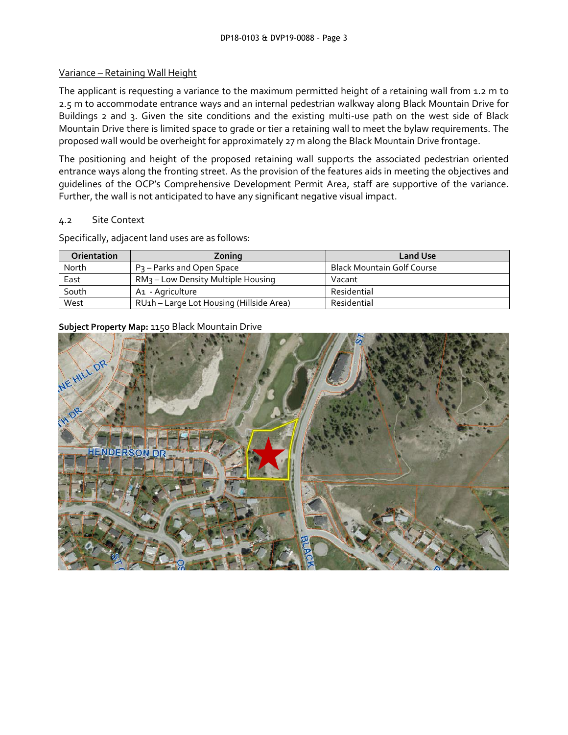## Variance – Retaining Wall Height

The applicant is requesting a variance to the maximum permitted height of a retaining wall from 1.2 m to 2.5 m to accommodate entrance ways and an internal pedestrian walkway along Black Mountain Drive for Buildings 2 and 3. Given the site conditions and the existing multi-use path on the west side of Black Mountain Drive there is limited space to grade or tier a retaining wall to meet the bylaw requirements. The proposed wall would be overheight for approximately 27 m along the Black Mountain Drive frontage.

The positioning and height of the proposed retaining wall supports the associated pedestrian oriented entrance ways along the fronting street. As the provision of the features aids in meeting the objectives and guidelines of the OCP's Comprehensive Development Permit Area, staff are supportive of the variance. Further, the wall is not anticipated to have any significant negative visual impact.

### 4.2 Site Context

Specifically, adjacent land uses are as follows:

| <b>Orientation</b> | Zoning                                         | <b>Land Use</b>                   |
|--------------------|------------------------------------------------|-----------------------------------|
| North              | P <sub>3</sub> – Parks and Open Space          | <b>Black Mountain Golf Course</b> |
| East               | RM <sub>3</sub> - Low Density Multiple Housing | Vacant                            |
| South              | A1 - Agriculture                               | Residential                       |
| West               | RU1h - Large Lot Housing (Hillside Area)       | Residential                       |

# **Subject Property Map:** 1150 Black Mountain Drive

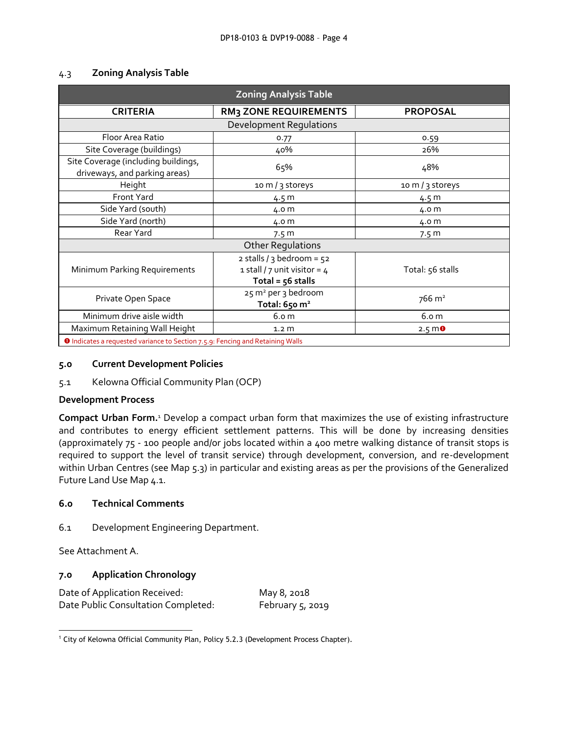| <b>Zoning Analysis Table</b>                                                          |                                                                                      |                   |  |  |
|---------------------------------------------------------------------------------------|--------------------------------------------------------------------------------------|-------------------|--|--|
| <b>CRITERIA</b>                                                                       | <b>RM3 ZONE REQUIREMENTS</b>                                                         | <b>PROPOSAL</b>   |  |  |
|                                                                                       | Development Regulations                                                              |                   |  |  |
| Floor Area Ratio                                                                      | 0.77                                                                                 | 0.59              |  |  |
| Site Coverage (buildings)                                                             | 40%                                                                                  | 26%               |  |  |
| Site Coverage (including buildings,<br>driveways, and parking areas)                  | 65%                                                                                  | 48%               |  |  |
| Height                                                                                | 10 m / 3 storeys                                                                     | 10 m / 3 storeys  |  |  |
| Front Yard                                                                            | 4.5 m                                                                                | 4.5 m             |  |  |
| Side Yard (south)                                                                     | 4.0 m                                                                                | 4.0 m             |  |  |
| Side Yard (north)                                                                     | 4.0 m                                                                                | 4.0 m             |  |  |
| Rear Yard                                                                             | 7.5 m                                                                                | 7.5 <sub>m</sub>  |  |  |
|                                                                                       | <b>Other Regulations</b>                                                             |                   |  |  |
| Minimum Parking Requirements                                                          | 2 stalls / 3 bedroom = $52$<br>1 stall / 7 unit visitor = $4$<br>Total = $56$ stalls | Total: 56 stalls  |  |  |
| Private Open Space                                                                    | 25 m <sup>2</sup> per 3 bedroom<br>Total: $650 \text{ m}^2$                          | $766 \text{ m}^2$ |  |  |
| Minimum drive aisle width                                                             | 6.0 <sub>m</sub>                                                                     | 6.0 <sub>m</sub>  |  |  |
| Maximum Retaining Wall Height                                                         | 1.2 <sub>m</sub>                                                                     | $2.5 \, \text{m}$ |  |  |
| <b>O</b> Indicates a requested variance to Section 7.5.9: Fencing and Retaining Walls |                                                                                      |                   |  |  |

# 4.3 **Zoning Analysis Table**

## **5.0 Current Development Policies**

## 5.1 Kelowna Official Community Plan (OCP)

### **Development Process**

**Compact Urban Form.**<sup>1</sup> Develop a compact urban form that maximizes the use of existing infrastructure and contributes to energy efficient settlement patterns. This will be done by increasing densities (approximately 75 - 100 people and/or jobs located within a 400 metre walking distance of transit stops is required to support the level of transit service) through development, conversion, and re-development within Urban Centres (see Map 5.3) in particular and existing areas as per the provisions of the Generalized Future Land Use Map 4.1.

# **6.0 Technical Comments**

6.1 Development Engineering Department.

See Attachment A.

# **7.0 Application Chronology**

Date of Application Received: May 8, 2018 Date Public Consultation Completed: February 5, 2019

<sup>1</sup> <sup>1</sup> City of Kelowna Official Community Plan, Policy 5.2.3 (Development Process Chapter).